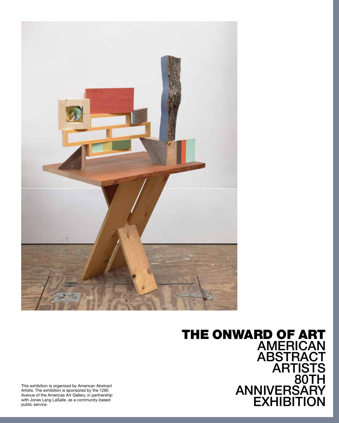

This exhibition is organized by American Abstract Artists. The exhibition is sponsored by the 1285 Avenue of the Americas Art Gallery, in partnership with Jones Lang LaSalle, as a community-based public service.

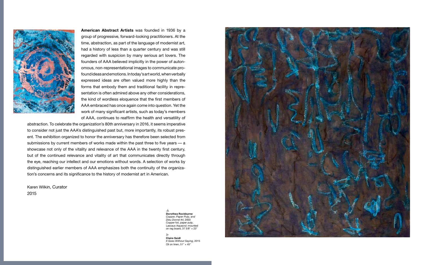

**American Abstract Artists** was founded in 1936 by a group of progressive, forward-looking practitioners. At the time, abstraction, as part of the language of modernist art, had a history of less than a quarter century and was still regarded with suspicion by many serious art lovers. The founders of AAA believed implicitly in the power of autonomous, non-representational images to communicate profound ideas and emotions. In today's art world, when verbally expressed ideas are often valued more highly than the forms that embody them and traditional facility in representation is often admired above any other considerations, the kind of wordless eloquence that the first members of AAA embraced has once again come into question. Yet the work of many significant artists, such as today's members of AAA, continues to reaffirm the health and versatility of

> **Claire Seidl** *It Goes Without Saying*, 2015 Oil on linen,  $51'' \times 45''$  $\blacktriangleright$

abstraction. To celebrate the organization's 80th anniversary in 2016, it seems imperative to consider not just the AAA's distinguished past but, more importantly, its robust present. The exhibition organized to honor the anniversary has therefore been selected from submissions by current members of works made within the past three to five years — a showcase not only of the vitality and relevance of the AAA in the twenty first century, but of the continued relevance and vitality of art that communicates directly through the eye, reaching our intellect and our emotions without words. A selection of works by distinguished earlier members of AAA emphasizes both the continuity of the organization's concerns and its significance to the history of modernist art in American.

Karen Wilkin, Curator 2015



**Dorothea Rockburne** *Copper, Paper Pulp, and Dieu Donné #4*, 2003 Copper foil, paper pulp, Lascaux Aquacryl; mounted on rag board, 31  $5/8" \times 23"$ ▲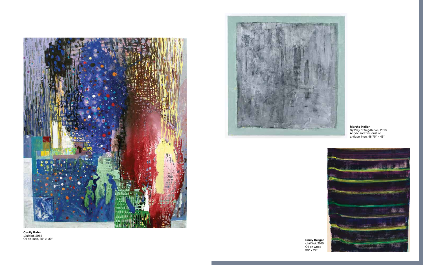

**Cecily Kahn** *Untitled*, 2014 Oil on linen,  $35'' \times 30''$ 



**Emily Berger** *Untitled*, 2015 Oil on wood  $30'' \times 24''$ 

**Marthe Keller** *By Way of Sagittarius*, 2013 Acrylic and zinc dust on antique linen, 48.75"  $\times$  48"

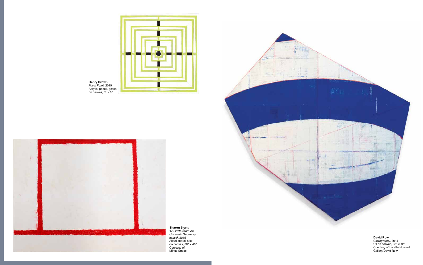**Sharon Brant** *#77-2015 (from An Uncertain Geometry series)*, 2015 Alkyd and oil stick on canvas,  $36'' \times 48''$ Courtesy of Minus Space









*Cartography*, 2014 Oil on canvas,  $38'' \times 42''$ Courtesy of Loretta Howard Gallery/David Row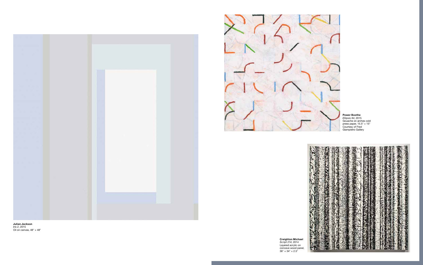



**Julian Jackson** *Iris 2*, 2015 Oil on canvas, 48"  $\times$  48" **Power Boothe** *Ellipsis #4*, 2015 Gouache on arches cold press paper, 15.5" × 15" Courtesy of Fred Giampietro Gallery



**Creighton Michael** *Script 214*, 2014 Layered acrylic on concave wood panel, 36" × 34" × 2.5"

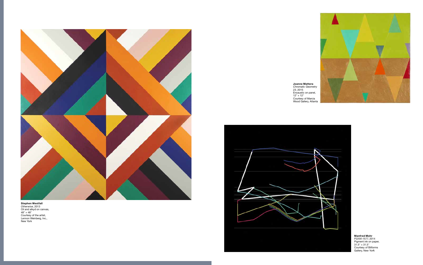**Manfred Mohr** *P2200-1577*, 2014 Pigment ink on paper,  $31.5" \times 31.5"$ Courtesy of Bitforms Gallery, New York



**Stephen Westfall** *Otherwise*, 2013 Oil and alkyd on canvas, 48 " × 48 " Courtesy of the artist, Lennon Weinberg, Inc., New York

**Joanne Mattera** *Chromatic Geometry 23*, 2015 Encaustic on panel,  $12" \times 12"$ Courtesy of Marcia Wood Gallery, Atlanta